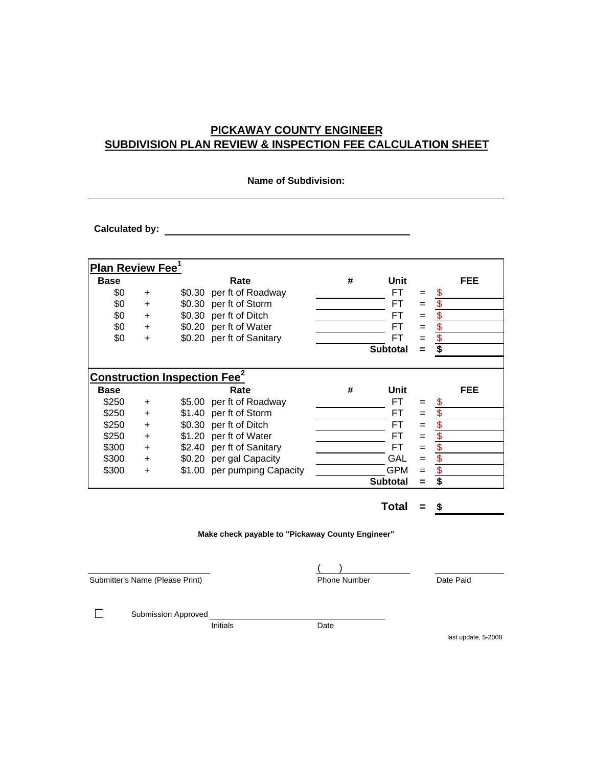## **PICKAWAY COUNTY ENGINEER SUBDIVISION PLAN REVIEW & INSPECTION FEE CALCULATION SHEET**

| <b>Name of Subdivision:</b>                    |           |        |                             |   |                 |          |                         |
|------------------------------------------------|-----------|--------|-----------------------------|---|-----------------|----------|-------------------------|
| <b>Calculated by:</b>                          |           |        |                             |   |                 |          |                         |
| <b>Plan Review Fee<sup>1</sup></b>             |           |        |                             |   |                 |          |                         |
| <b>Base</b>                                    |           |        | Rate                        | # | Unit            |          | FEE                     |
| \$0                                            | +         |        | \$0.30 per ft of Roadway    |   | FT.             | $=$      | 5                       |
| \$0                                            | $\ddot{}$ |        | \$0.30 per ft of Storm      |   | FT              | $=$      | \$                      |
| \$0                                            | $\ddot{}$ |        | \$0.30 per ft of Ditch      |   | FT              | $=$      | \$                      |
| \$0                                            | $\ddot{}$ |        | \$0.20 per ft of Water      |   | FT              | $=$      | $\boldsymbol{\theta}$   |
| \$0                                            | +         |        | \$0.20 per ft of Sanitary   |   | FT              | $=$      | $\overline{\mathbf{S}}$ |
|                                                |           |        |                             |   | <b>Subtotal</b> | $\equiv$ | \$                      |
| <b>Construction Inspection Fee<sup>2</sup></b> |           |        |                             |   |                 |          |                         |
| <b>Base</b>                                    |           |        | Rate                        | # | Unit            |          | FEE                     |
| \$250                                          | $\ddot{}$ |        | \$5.00 per ft of Roadway    |   | FT.             | $=$      | \$                      |
| \$250                                          | $\ddot{}$ | \$1.40 | per ft of Storm             |   | FT              | $=$      | \$                      |
| \$250                                          | +         |        | \$0.30 per ft of Ditch      |   | FT              | $=$      | \$                      |
| \$250                                          | $\ddot{}$ |        | \$1.20 per ft of Water      |   | FT              | $=$      | \$                      |
| \$300                                          | $\ddot{}$ |        | \$2.40 per ft of Sanitary   |   | FT              | $=$      | \$                      |
| \$300                                          | +         |        | \$0.20 per gal Capacity     |   | GAL             | $=$      | \$                      |
| \$300                                          | +         |        | \$1.00 per pumping Capacity |   | <b>GPM</b>      | $=$      | \$                      |
|                                                |           |        |                             |   | <b>Subtotal</b> | $\equiv$ | \$                      |

**Total = \$**

**Make check payable to "Pickaway County Engineer"**

Submitter's Name (Please Print) Phone Number

 $\Box$ 

Submission Approved

Initials Date

 $($   $)$ 

last update, 5-2008

Date Paid